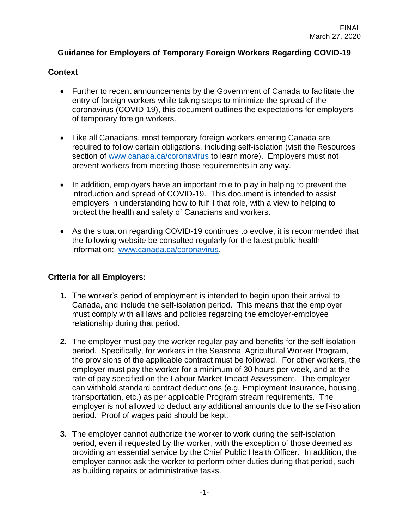## **Guidance for Employers of Temporary Foreign Workers Regarding COVID-19**

## **Context**

- Further to recent announcements by the Government of Canada to facilitate the entry of foreign workers while taking steps to minimize the spread of the coronavirus (COVID-19), this document outlines the expectations for employers of temporary foreign workers.
- Like all Canadians, most temporary foreign workers entering Canada are required to follow certain obligations, including self-isolation (visit the Resources section of [www.canada.ca/coronavirus](http://www.canada.ca/coronavirus) to learn more). Employers must not prevent workers from meeting those requirements in any way.
- In addition, employers have an important role to play in helping to prevent the introduction and spread of COVID-19. This document is intended to assist employers in understanding how to fulfill that role, with a view to helping to protect the health and safety of Canadians and workers.
- As the situation regarding COVID-19 continues to evolve, it is recommended that the following website be consulted regularly for the latest public health information: [www.canada.ca/coronavirus.](http://www.canada.ca/coronavirus)

## **Criteria for all Employers:**

- **1.** The worker's period of employment is intended to begin upon their arrival to Canada, and include the self-isolation period. This means that the employer must comply with all laws and policies regarding the employer-employee relationship during that period.
- **2.** The employer must pay the worker regular pay and benefits for the self-isolation period. Specifically, for workers in the Seasonal Agricultural Worker Program, the provisions of the applicable contract must be followed. For other workers, the employer must pay the worker for a minimum of 30 hours per week, and at the rate of pay specified on the Labour Market Impact Assessment. The employer can withhold standard contract deductions (e.g. Employment Insurance, housing, transportation, etc.) as per applicable Program stream requirements. The employer is not allowed to deduct any additional amounts due to the self-isolation period. Proof of wages paid should be kept.
- **3.** The employer cannot authorize the worker to work during the self-isolation period, even if requested by the worker, with the exception of those deemed as providing an essential service by the Chief Public Health Officer. In addition, the employer cannot ask the worker to perform other duties during that period, such as building repairs or administrative tasks.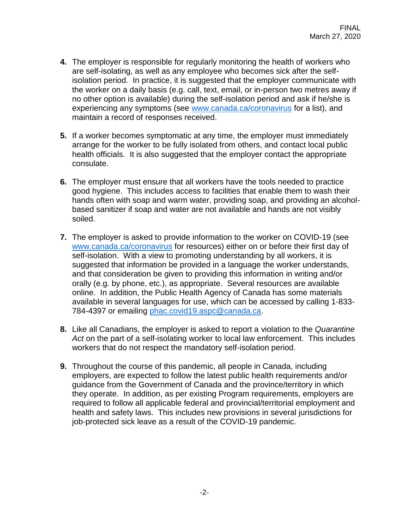- **4.** The employer is responsible for regularly monitoring the health of workers who are self-isolating, as well as any employee who becomes sick after the selfisolation period. In practice, it is suggested that the employer communicate with the worker on a daily basis (e.g. call, text, email, or in-person two metres away if no other option is available) during the self-isolation period and ask if he/she is experiencing any symptoms (see [www.canada.ca/coronavirus](http://www.canada.ca/coronavirus) for a list), and maintain a record of responses received.
- **5.** If a worker becomes symptomatic at any time, the employer must immediately arrange for the worker to be fully isolated from others, and contact local public health officials. It is also suggested that the employer contact the appropriate consulate.
- **6.** The employer must ensure that all workers have the tools needed to practice good hygiene. This includes access to facilities that enable them to wash their hands often with soap and warm water, providing soap, and providing an alcoholbased sanitizer if soap and water are not available and hands are not visibly soiled.
- **7.** The employer is asked to provide information to the worker on COVID-19 (see [www.canada.ca/coronavirus](http://www.canada.ca/coronavirus) for resources) either on or before their first day of self-isolation. With a view to promoting understanding by all workers, it is suggested that information be provided in a language the worker understands, and that consideration be given to providing this information in writing and/or orally (e.g. by phone, etc.), as appropriate. Several resources are available online. In addition, the Public Health Agency of Canada has some materials available in several languages for use, which can be accessed by calling 1-833- 784-4397 or emailing [phac.covid19.aspc@canada.ca.](mailto:phac.covid19.aspc@canada.ca)
- **8.** Like all Canadians, the employer is asked to report a violation to the *Quarantine Act* on the part of a self-isolating worker to local law enforcement. This includes workers that do not respect the mandatory self-isolation period.
- **9.** Throughout the course of this pandemic, all people in Canada, including employers, are expected to follow the latest public health requirements and/or guidance from the Government of Canada and the province/territory in which they operate. In addition, as per existing Program requirements, employers are required to follow all applicable federal and provincial/territorial employment and health and safety laws. This includes new provisions in several jurisdictions for job-protected sick leave as a result of the COVID-19 pandemic.